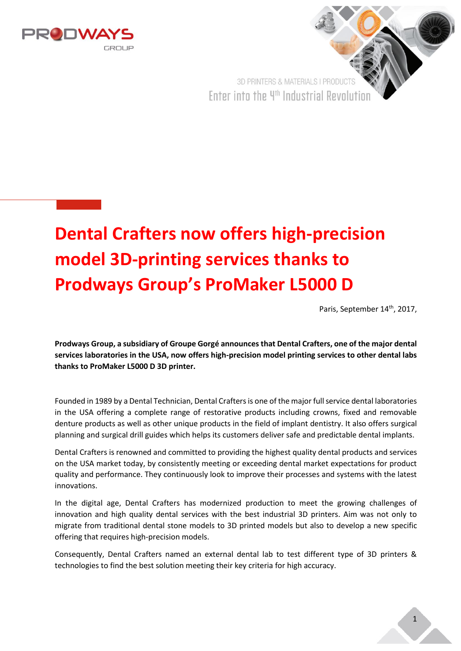



## **Dental Crafters now offers high-precision model 3D-printing services thanks to Prodways Group's ProMaker L5000 D**

Paris, September 14th, 2017,

**Prodways Group, a subsidiary of Groupe Gorgé announces that Dental Crafters, one of the major dental services laboratories in the USA, now offers high-precision model printing services to other dental labs thanks to ProMaker L5000 D 3D printer.**

Founded in 1989 by a Dental Technician, Dental Crafters is one of the major full service dental laboratories in the USA offering a complete range of restorative products including crowns, fixed and removable denture products as well as other unique products in the field of implant dentistry. It also offers surgical planning and surgical drill guides which helps its customers deliver safe and predictable dental implants.

Dental Crafters is renowned and committed to providing the highest quality dental products and services on the USA market today, by consistently meeting or exceeding dental market expectations for product quality and performance. They continuously look to improve their processes and systems with the latest innovations.

In the digital age, Dental Crafters has modernized production to meet the growing challenges of innovation and high quality dental services with the best industrial 3D printers. Aim was not only to migrate from traditional dental stone models to 3D printed models but also to develop a new specific offering that requires high-precision models.

Consequently, Dental Crafters named an external dental lab to test different type of 3D printers & technologies to find the best solution meeting their key criteria for high accuracy.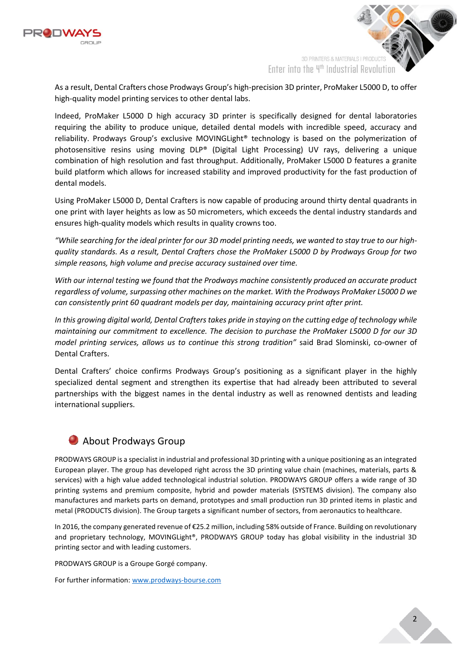

3D PRINTERS & MATERIALS I PRODUCT Enter into the 4th Industrial Revolution

As a result, Dental Crafters chose Prodways Group's high-precision 3D printer, ProMaker L5000 D, to offer high-quality model printing services to other dental labs.

Indeed, ProMaker L5000 D high accuracy 3D printer is specifically designed for dental laboratories requiring the ability to produce unique, detailed dental models with incredible speed, accuracy and reliability. Prodways Group's exclusive MOVINGLight® technology is based on the polymerization of photosensitive resins using moving DLP® (Digital Light Processing) UV rays, delivering a unique combination of high resolution and fast throughput. Additionally, ProMaker L5000 D features a granite build platform which allows for increased stability and improved productivity for the fast production of dental models.

Using ProMaker L5000 D, Dental Crafters is now capable of producing around thirty dental quadrants in one print with layer heights as low as 50 micrometers, which exceeds the dental industry standards and ensures high-quality models which results in quality crowns too.

*"While searching for the ideal printer for our 3D model printing needs, we wanted to stay true to our highquality standards. As a result, Dental Crafters chose the ProMaker L5000 D by Prodways Group for two simple reasons, high volume and precise accuracy sustained over time.* 

*With our internal testing we found that the Prodways machine consistently produced an accurate product regardless of volume, surpassing other machines on the market. With the Prodways ProMaker L5000 D we can consistently print 60 quadrant models per day, maintaining accuracy print after print.*

*In this growing digital world, Dental Crafters takes pride in staying on the cutting edge of technology while maintaining our commitment to excellence. The decision to purchase the ProMaker L5000 D for our 3D model printing services, allows us to continue this strong tradition"* said Brad Slominski, co-owner of Dental Crafters.

Dental Crafters' choice confirms Prodways Group's positioning as a significant player in the highly specialized dental segment and strengthen its expertise that had already been attributed to several partnerships with the biggest names in the dental industry as well as renowned dentists and leading international suppliers.

## **About Prodways Group**

PRODWAYS GROUP is a specialist in industrial and professional 3D printing with a unique positioning as an integrated European player. The group has developed right across the 3D printing value chain (machines, materials, parts & services) with a high value added technological industrial solution. PRODWAYS GROUP offers a wide range of 3D printing systems and premium composite, hybrid and powder materials (SYSTEMS division). The company also manufactures and markets parts on demand, prototypes and small production run 3D printed items in plastic and metal (PRODUCTS division). The Group targets a significant number of sectors, from aeronautics to healthcare.

In 2016, the company generated revenue of €25.2 million, including 58% outside of France. Building on revolutionary and proprietary technology, MOVINGLight®, PRODWAYS GROUP today has global visibility in the industrial 3D printing sector and with leading customers.

PRODWAYS GROUP is a Groupe Gorgé company.

For further information: [www.prodways-bourse.com](http://www.prodways-bourse.com/)